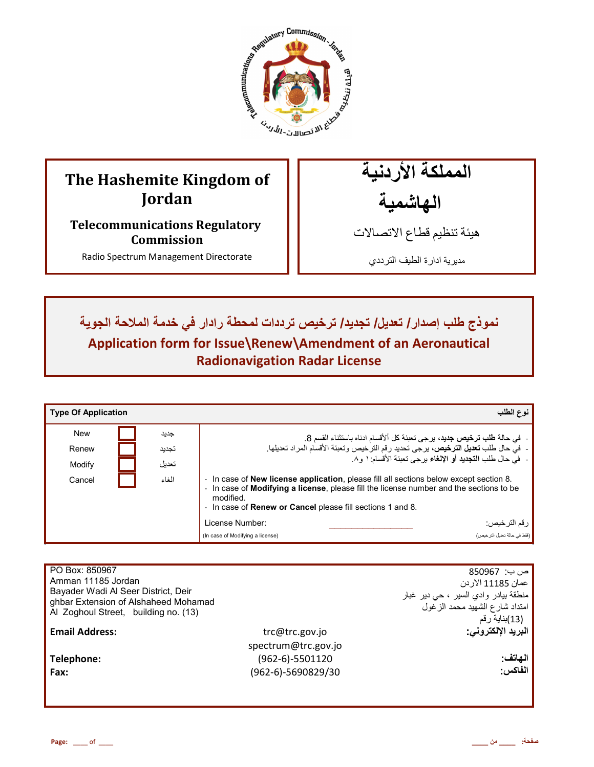

# **The Hashemite Kingdom of Jordan**

**Telecommunications Regulatory Commission** 

Radio Spectrum Management Directorate

المملكة الأردنية الـهاشمية

هيئة تنظيم قطاع الاتصـالات

مديرية ادارة الطيف الترددي

نموذج طلب إصدار / تعديل/ تجديد/ ترخيص ترددات لمحطة رادار في خدمة الملاحة الجوية **Application form for Issue\Renew\Amendment of an Aeronautical Radionavigation Radar License**

| <b>Type Of Application</b> |       | نوع الطلب                                                                                                                                                                                                                                                                           |
|----------------------------|-------|-------------------------------------------------------------------------------------------------------------------------------------------------------------------------------------------------------------------------------------------------------------------------------------|
| <b>New</b>                 | جديد  | -  في حالة طلب ترخيص جديد، برجي تعبئة كل ألأقسام ادناه باستثناء القسم 8.                                                                                                                                                                                                            |
| Renew                      | تجديد | -  في حال طلب تعديل الترخيص، يرجى تحديد رقم الترخيص وتعبئة الأقسام المراد تعديلها.                                                                                                                                                                                                  |
| Modify                     | تعديل | -  في حال طلب ا <b>لتجديد</b> أو الإلغاء يرجى تعبئة الأقسام: ١ و ٨.                                                                                                                                                                                                                 |
| Cancel                     | الغاء | - In case of <b>New license application</b> , please fill all sections below except section 8.<br>- In case of <b>Modifying a license</b> , please fill the license number and the sections to be<br>modified.<br>- In case of <b>Renew or Cancel</b> please fill sections 1 and 8. |
|                            |       | License Number:<br>ر قم الترخيص:                                                                                                                                                                                                                                                    |
|                            |       | (فقط في حالة تحديل التر خبص)<br>(In case of Modifying a license)                                                                                                                                                                                                                    |

| PO Box: 850967<br>Amman 11185 Jordan<br>Bayader Wadi Al Seer District, Deir<br>ghbar Extension of Alshaheed Mohamad<br>Al Zoghoul Street, building no. (13) |                                                                | ص ب:  850967<br>عمان 11185 الاردن<br>منطقة بيادر وادي السير ، حي دير غبار<br>امتداد شارع الشهيد محمد الزغول<br>(13)بذاية رقم |
|-------------------------------------------------------------------------------------------------------------------------------------------------------------|----------------------------------------------------------------|------------------------------------------------------------------------------------------------------------------------------|
| <b>Email Address:</b>                                                                                                                                       | trc@trc.gov.jo                                                 | البريد الإلكتروني:                                                                                                           |
| Telephone:<br>Fax:                                                                                                                                          | spectrum@trc.gov.jo<br>$(962-6)-5501120$<br>(962-6)-5690829/30 | الهاتف:<br>الفاكس:                                                                                                           |
|                                                                                                                                                             |                                                                |                                                                                                                              |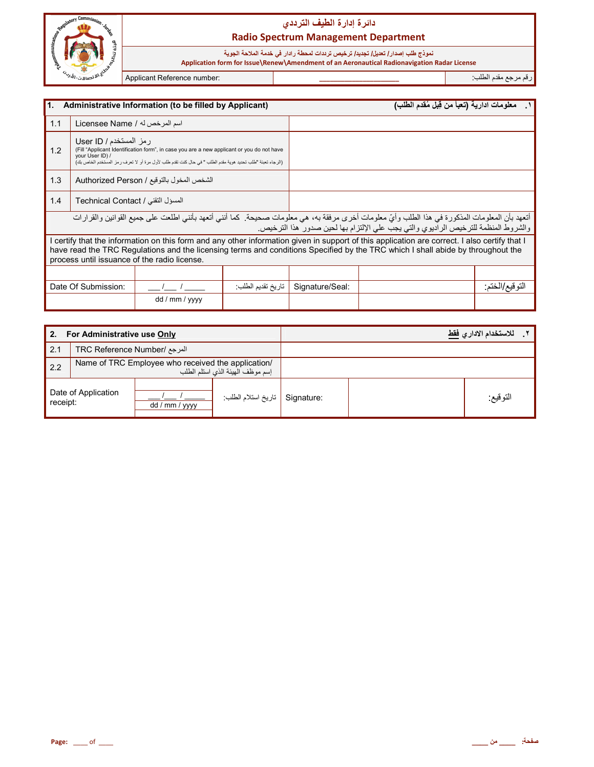

# دائرة إدارة الطيف التردد*ي* **Radio Spectrum Management Department**

### نموذج طلب إصدار **/ تعديل/ تجديد/ ترخيص ترددات لمحطة ر**ادار في خدمة الملاحة الجوية

 **Application form for Issue\Renew\Amendment of an Aeronautical Radionavigation Radar License**

رم رg &دم اط\*ب: **\_\_\_\_\_\_\_\_\_\_\_\_\_\_\_\_\_\_\_\_\_\_** :number Reference Applicant

| 1.<br>Administrative Information (to be filled by Applicant)                                                                                                                                                                                                                                                                   |                                   |                 |                                                                                    | معلومات ادارية (تعبأ من قِبل مُقدم الطلب) | $\overline{\phantom{a}}$ |  |
|--------------------------------------------------------------------------------------------------------------------------------------------------------------------------------------------------------------------------------------------------------------------------------------------------------------------------------|-----------------------------------|-----------------|------------------------------------------------------------------------------------|-------------------------------------------|--------------------------|--|
| 1.1<br>اسم المرخص له / Licensee Name                                                                                                                                                                                                                                                                                           |                                   |                 |                                                                                    |                                           |                          |  |
| رمز المستخدم / User ID<br>(Fill "Applicant Identification form", in case you are a new applicant or you do not have<br>1.2<br>your User ID) /<br>(الرجاء تعبئة "طلب تحديد هوية مقدم الطلب " في حال كنت تقدم طلب لأول مرة أو لا تعرف ر مز المستخدم الخاص بك)                                                                    |                                   |                 |                                                                                    |                                           |                          |  |
| 1.3<br>الشخص المخول بالتوقيع / Authorized Person                                                                                                                                                                                                                                                                               |                                   |                 |                                                                                    |                                           |                          |  |
| 1.4                                                                                                                                                                                                                                                                                                                            | المسؤل التقنى / Technical Contact |                 |                                                                                    |                                           |                          |  |
| أتعهد بأن المعلومات المذكورة في هذا الطلب وأيّ معلومات أخرى مرفقة به، هي معلومات صحيحة. كما أنني أتعهد بأنني اطلعت على جميع القوانين والقرارات                                                                                                                                                                                 |                                   |                 | والشروط المنظمة للترخيص الراديوي والتي يجب على الإلتزام بها لحين صدور هذا الترخيص. |                                           |                          |  |
| certify that the information on this form and any other information given in support of this application are correct. I also certify that I<br>have read the TRC Regulations and the licensing terms and conditions Specified by the TRC which I shall abide by throughout the<br>process until issuance of the radio license. |                                   |                 |                                                                                    |                                           |                          |  |
|                                                                                                                                                                                                                                                                                                                                |                                   |                 |                                                                                    |                                           |                          |  |
| Date Of Submission:<br>تاريخ تقديم الطلب:                                                                                                                                                                                                                                                                                      |                                   | Signature/Seal: |                                                                                    | النو فيع/الخنم:                           |                          |  |
|                                                                                                                                                                                                                                                                                                                                |                                   | dd / mm / yyyy  |                                                                                    |                                           |                          |  |

| For Administrative use Only<br>2. |                                                                                        |                |                      | للاستخدام الاداري فقط |          |
|-----------------------------------|----------------------------------------------------------------------------------------|----------------|----------------------|-----------------------|----------|
| 2.1                               | المرجع /TRC Reference Number                                                           |                |                      |                       |          |
| 2.2                               | Name of TRC Employee who received the application/<br>إسم موظف الهيئة الذي استلم الطلب |                |                      |                       |          |
| Date of Application<br>receipt:   |                                                                                        | dd / mm / yyyy | أ تاريخ استلام الطلب | Signature:            | التوقيع: |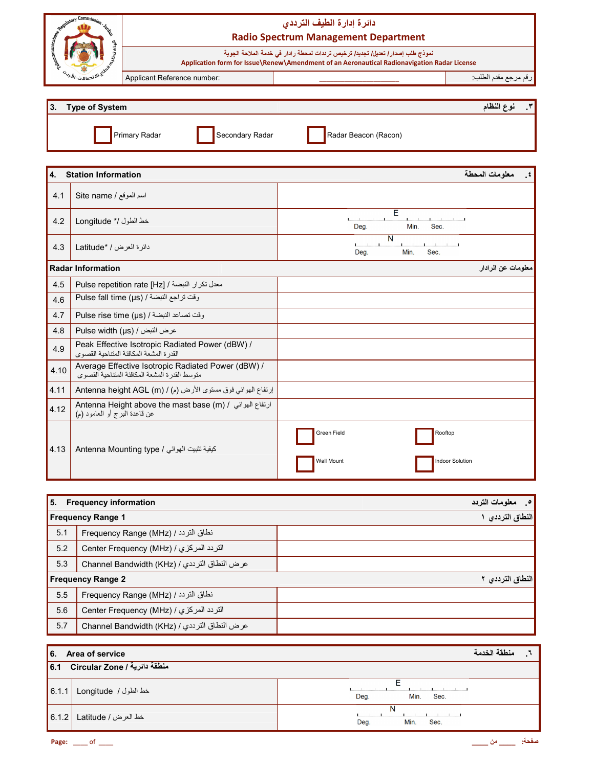|      | <b>Commission Commission Law</b>    |                                                                                                                                                                                 | دائرة إدارة الطيف الترددى<br><b>Radio Spectrum Management Department</b> |                             |  |  |  |
|------|-------------------------------------|---------------------------------------------------------------------------------------------------------------------------------------------------------------------------------|--------------------------------------------------------------------------|-----------------------------|--|--|--|
|      |                                     | نموذج طلب إصدار / تعديل/ تجديد/ ترخيص ترددات لمحطة ر ادار في خدمة الملاحة الجوية<br>Application form for Issue\Renew\Amendment of an Aeronautical Radionavigation Radar License |                                                                          |                             |  |  |  |
|      | رج<br>تا الاقتصالات                 | Applicant Reference number:                                                                                                                                                     |                                                                          | رقم مرجع مقدم الطلب:        |  |  |  |
| 3.   | نوع النظام<br><b>Type of System</b> |                                                                                                                                                                                 |                                                                          |                             |  |  |  |
|      |                                     | Primary Radar<br>Secondary Radar                                                                                                                                                | Radar Beacon (Racon)                                                     |                             |  |  |  |
| 4.   | <b>Station Information</b>          |                                                                                                                                                                                 |                                                                          | معلومات المحطة<br>$\cdot$ . |  |  |  |
| 4.1  | Site name / اسم الموقع              |                                                                                                                                                                                 |                                                                          |                             |  |  |  |
| 4.2  | خط الطول /* Longitude               |                                                                                                                                                                                 | Е<br>Min.<br>Sec.<br>Deg.                                                |                             |  |  |  |
| 4.3  | دائرة العرض / *Latitude             |                                                                                                                                                                                 | N<br>L.<br>Sec.<br>Deg.<br>Min.                                          |                             |  |  |  |
|      | <b>Radar Information</b>            |                                                                                                                                                                                 |                                                                          | معلومات عن الرادار          |  |  |  |
| 4.5  |                                     | Pulse repetition rate [Hz] / فعدل تكرار النبضة /                                                                                                                                |                                                                          |                             |  |  |  |
| 4.6  |                                     | وقت تراجع النبضة / Pulse fall time (µs)                                                                                                                                         |                                                                          |                             |  |  |  |
| 4.7  |                                     | وقت تصاعد النبضة / Pulse rise time (µs)                                                                                                                                         |                                                                          |                             |  |  |  |
| 4.8  |                                     | Pulse width (µs) / عرض النبض /                                                                                                                                                  |                                                                          |                             |  |  |  |
| 4.9  |                                     | Peak Effective Isotropic Radiated Power (dBW) /<br>القدرة المشعة المكافئة المتناحية القصوى                                                                                      |                                                                          |                             |  |  |  |
| 4.10 |                                     | Average Effective Isotropic Radiated Power (dBW) /<br>متوسط القدرة المشعة المكافئة المتناحية القصوى                                                                             |                                                                          |                             |  |  |  |
| 4.11 |                                     | إرتفاع الهوائي فوق مستوى الأرض (م) / Antenna height AGL (m)                                                                                                                     |                                                                          |                             |  |  |  |
| 4.12 | عن قاعدة المُبْرِج أو العامود (م)   | Antenna Height above the mast base (m) / ارتفاع الهوائي /                                                                                                                       |                                                                          |                             |  |  |  |
| 4.13 |                                     | كيفية تثبيت الهوائي / Antenna Mounting type                                                                                                                                     | Green Field<br>Rooftop<br>Wall Mount                                     | <b>Indoor Solution</b>      |  |  |  |

| l 5. | <b>Frequency information</b>                 | معلومات التردد<br>$\bullet$ |
|------|----------------------------------------------|-----------------------------|
|      | <b>Frequency Range 1</b>                     | النطاق الترددي              |
| 5.1  | نطاق التردد / Frequency Range (MHz)          |                             |
| 5.2  | التردد المركزي / Center Frequency (MHz)      |                             |
| 5.3  | عرض النطاق الترددي / Channel Bandwidth (KHz) |                             |
|      | <b>Frequency Range 2</b>                     | النطاق الترددي ٢            |
| 5.5  | نطاق التردد / Frequency Range (MHz)          |                             |
| 5.6  | التردد المركزي / Center Frequency (MHz)      |                             |
| 5.7  | عرض النطاق الترددي / Channel Bandwidth (KHz) |                             |

|       | 6. Area of service               |                           |  |  |  |  |
|-------|----------------------------------|---------------------------|--|--|--|--|
|       | 6.1 Circular Zone / فنطقة دائرية |                           |  |  |  |  |
| 6.1.1 | خط الطول / Longitude             | Deg.<br>Min.<br>Sec.      |  |  |  |  |
| 6.1.2 | خط العرض / Latitude              | N<br>Min.<br>Deg.<br>Sec. |  |  |  |  |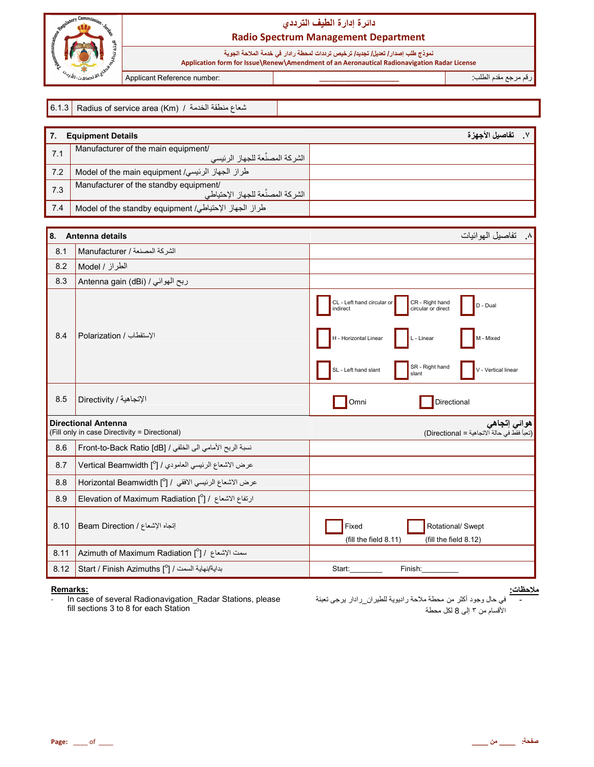

# دائرة إدارة الطيف الترددي **Radio Spectrum Management Department**

نموذج طلب إصدار / تعديل/ تجديد/ ترخيص ترددات لمحطة رادار في خدمة الملاحة الجوية<br>Application form for Issue\Renew\Amendment of an Aeronautical Radionavigation Radar License

Applicant Reference number:

رقم مرجع مقدم الطلب<del>.</del>

|  | شعاع منطقة الخدمة / C.1.3 Radius of service area (Km)   فلعاع منطقة الخدمة / |
|--|------------------------------------------------------------------------------|
|--|------------------------------------------------------------------------------|

|     | <b>Equipment Details</b>                                                     | تفاصيل الأجهز ة |
|-----|------------------------------------------------------------------------------|-----------------|
| 7.1 | Manufacturer of the main equipment/<br>الشركة المصنِّعة للجهاز الرئيسي       |                 |
| 7.2 | طراز الجهاز الرئيسي/ Model of the main equipment                             |                 |
| 7.3 | Manufacturer of the standby equipment/<br>الشر كة المصنِّعة للجهاز الإحتياطي |                 |
| 7.4 | طراز الجهاز الإحتياطي/ Model of the standby equipment                        |                 |

| 8.   | Antenna details                                                             | ٨__ تفاصيل المو ائيات                                                                       |
|------|-----------------------------------------------------------------------------|---------------------------------------------------------------------------------------------|
| 8.1  | الشركة المصنعة / Manufacturer                                               |                                                                                             |
| 8.2  | الطراز / Model                                                              |                                                                                             |
| 8.3  | ربح الهوائي / Antenna gain (dBi)                                            |                                                                                             |
|      |                                                                             | CL - Left hand circular or<br>CR - Right hand<br>D - Dual<br>circular or direct<br>indirect |
| 8.4  | الإستقطاب / Polarization                                                    | H - Horizontal Linear<br>L - Linear<br>M - Mixed                                            |
|      |                                                                             | SR - Right hand<br>SL - Left hand slant<br>V - Vertical linear<br>slant                     |
| 8.5  | الإتجاهية / Directivity                                                     | Directional<br>Omni                                                                         |
|      | <b>Directional Antenna</b><br>(Fill only in case Directivity = Directional) | هوائ <i>ی</i> إتجاه <i>ی</i><br>(تعبأ فقط في حالة الاتجاهية = Directional)                  |
| 8.6  | نسبة الربح الأمامي الى الخلفي / Front-to-Back Ratio [dB]                    |                                                                                             |
| 8.7  | عرض الاشعاع الرئيسي العامودي / [ <sup>0</sup> ] Vertical Beamwidth          |                                                                                             |
| 8.8  | عرض الاشعاع الرئيسي الافقى / [ <sup>0</sup> ] Horizontal Beamwidth          |                                                                                             |
| 8.9  | ارتفاع الاشعاع / [ <sup>0</sup> ] Elevation of Maximum Radiation            |                                                                                             |
| 8.10 | إتجاه الإشعاع / Beam Direction                                              | Fixed<br>Rotational/ Swept<br>(fill the field 8.11)<br>(fill the field 8.12)                |
| 8.11 | Azimuth of Maximum Radiation [ $^{\circ}$ ] / است الإشعاع /                 |                                                                                             |
| 8.12 | بداية/نهاية السمت / Start / Finish Azimuths [°] /                           | Start:<br>Finish:                                                                           |

#### Remarks:

In case of several Radionavigation\_Radar Stations, please fill sections 3 to 8 for each Station

<u>ملاحظات:</u><br>-في حال وجود أكثر من محطة ملاحة راديوية للطيرا<u>ن ر</u>ادار يرجى تعبئة الأقسام من ٣ إلى 8 لكل محطة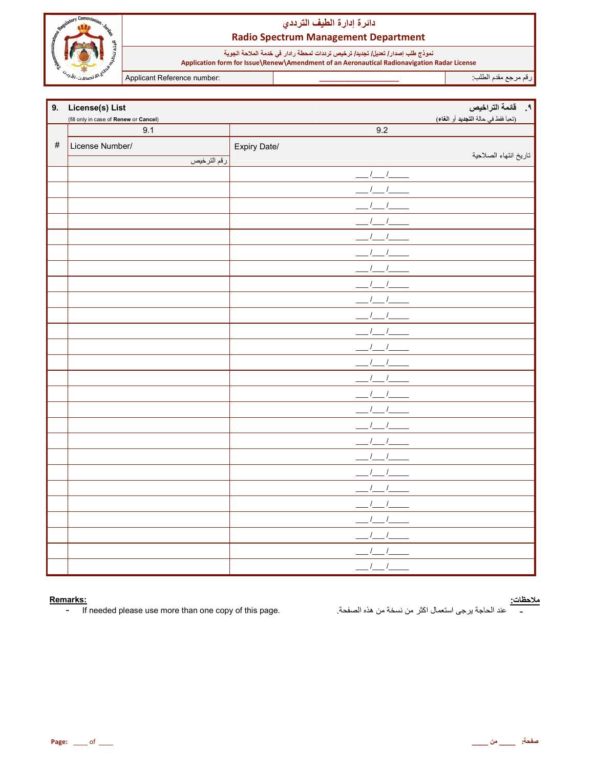

# دائرة إدارة الطيف الترددي **Radio Spectrum Management Department**

نموذج طلب إصدار / تعديل/ تجديد/ ترخيص ترددات لمحطة رادار في خدمة الملاحة الجوية<br>Application form for Issue\Renew\Amendment of an Aeronautical Radionavigation Radar License

Applicant Reference number:

رقم مرجع مقدم الطلب

| 9.   | License(s) List                        |              | ٩ _ _ _ قائمة التراخيص              |
|------|----------------------------------------|--------------|-------------------------------------|
|      | (fill only in case of Renew or Cancel) |              | (تعبأ فقط في حالة التجديد أو الغاء) |
|      | 9.1                                    | 9.2          |                                     |
| $\#$ | License Number/                        | Expiry Date/ |                                     |
|      | رقم الترخيص                            |              | تاريخ انتهاء الصلاحية               |
|      |                                        | $1 - 1$      |                                     |
|      |                                        |              |                                     |
|      |                                        |              |                                     |
|      |                                        |              |                                     |
|      |                                        |              |                                     |
|      |                                        |              |                                     |
|      |                                        |              |                                     |
|      |                                        |              |                                     |
|      |                                        |              |                                     |
|      |                                        |              |                                     |
|      |                                        |              |                                     |
|      |                                        |              |                                     |
|      |                                        |              |                                     |
|      |                                        |              |                                     |
|      |                                        |              |                                     |
|      |                                        |              |                                     |
|      |                                        |              |                                     |
|      |                                        |              |                                     |
|      |                                        |              |                                     |
|      |                                        |              |                                     |
|      |                                        |              |                                     |
|      |                                        |              |                                     |
|      |                                        |              |                                     |
|      |                                        |              |                                     |
|      |                                        |              |                                     |
|      |                                        |              |                                     |

### Remarks:

If needed please use more than one copy of this page.  $\omega_{\rm c}$ 

<mark>ملاحظات:</mark><br>\_\_\_\_\_\_ عند الحاجة يرجى استعمال اكثر من نسخة من هذه الصفحة<sub>.</sub>